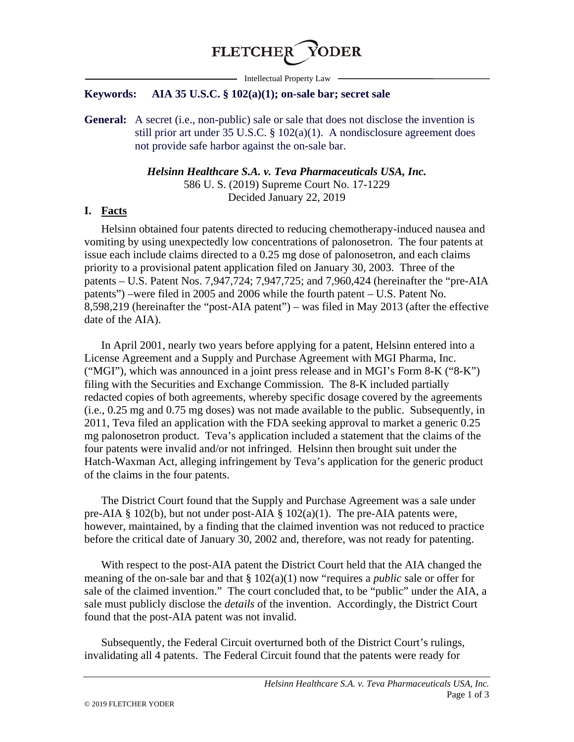

- Intellectual Property Law -

#### **Keywords: AIA 35 U.S.C. § 102(a)(1); on-sale bar; secret sale**

**General:** A secret (i.e., non-public) sale or sale that does not disclose the invention is still prior art under 35 U.S.C. § 102(a)(1). A nondisclosure agreement does not provide safe harbor against the on-sale bar.

> *Helsinn Healthcare S.A. v. Teva Pharmaceuticals USA, Inc.* 586 U. S. (2019) Supreme Court No. 17-1229 Decided January 22, 2019

#### **I. Facts**

Helsinn obtained four patents directed to reducing chemotherapy-induced nausea and vomiting by using unexpectedly low concentrations of palonosetron. The four patents at issue each include claims directed to a 0.25 mg dose of palonosetron, and each claims priority to a provisional patent application filed on January 30, 2003. Three of the patents – U.S. Patent Nos. 7,947,724; 7,947,725; and 7,960,424 (hereinafter the "pre-AIA patents") –were filed in 2005 and 2006 while the fourth patent – U.S. Patent No. 8,598,219 (hereinafter the "post-AIA patent") – was filed in May 2013 (after the effective date of the AIA).

In April 2001, nearly two years before applying for a patent, Helsinn entered into a License Agreement and a Supply and Purchase Agreement with MGI Pharma, Inc. ("MGI"), which was announced in a joint press release and in MGI's Form 8-K ("8-K") filing with the Securities and Exchange Commission. The 8-K included partially redacted copies of both agreements, whereby specific dosage covered by the agreements (i.e., 0.25 mg and 0.75 mg doses) was not made available to the public. Subsequently, in 2011, Teva filed an application with the FDA seeking approval to market a generic 0.25 mg palonosetron product. Teva's application included a statement that the claims of the four patents were invalid and/or not infringed. Helsinn then brought suit under the Hatch-Waxman Act, alleging infringement by Teva's application for the generic product of the claims in the four patents.

The District Court found that the Supply and Purchase Agreement was a sale under pre-AIA § 102(b), but not under post-AIA § 102(a)(1). The pre-AIA patents were, however, maintained, by a finding that the claimed invention was not reduced to practice before the critical date of January 30, 2002 and, therefore, was not ready for patenting.

With respect to the post-AIA patent the District Court held that the AIA changed the meaning of the on-sale bar and that § 102(a)(1) now "requires a *public* sale or offer for sale of the claimed invention." The court concluded that, to be "public" under the AIA, a sale must publicly disclose the *details* of the invention. Accordingly, the District Court found that the post-AIA patent was not invalid.

Subsequently, the Federal Circuit overturned both of the District Court's rulings, invalidating all 4 patents. The Federal Circuit found that the patents were ready for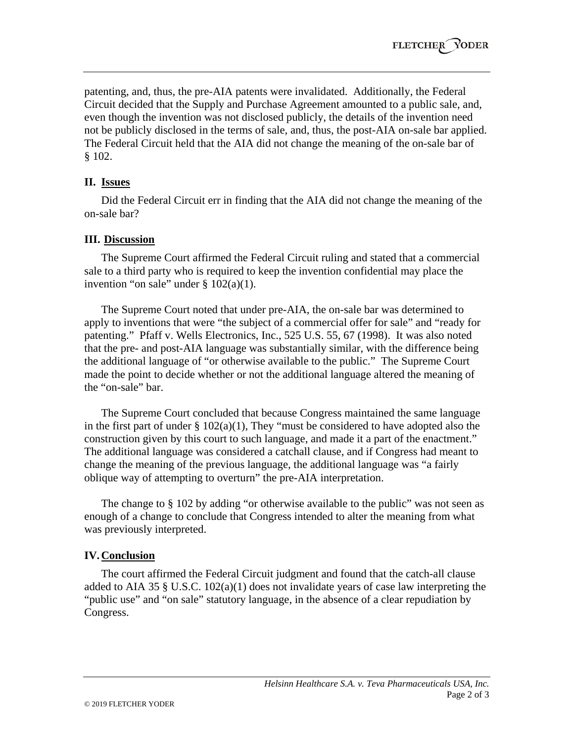patenting, and, thus, the pre-AIA patents were invalidated. Additionally, the Federal Circuit decided that the Supply and Purchase Agreement amounted to a public sale, and, even though the invention was not disclosed publicly, the details of the invention need not be publicly disclosed in the terms of sale, and, thus, the post-AIA on-sale bar applied. The Federal Circuit held that the AIA did not change the meaning of the on-sale bar of § 102.

# **II. Issues**

Did the Federal Circuit err in finding that the AIA did not change the meaning of the on-sale bar?

# **III. Discussion**

The Supreme Court affirmed the Federal Circuit ruling and stated that a commercial sale to a third party who is required to keep the invention confidential may place the invention "on sale" under  $\S 102(a)(1)$ .

The Supreme Court noted that under pre-AIA, the on-sale bar was determined to apply to inventions that were "the subject of a commercial offer for sale" and "ready for patenting." Pfaff v. Wells Electronics, Inc., 525 U.S. 55, 67 (1998). It was also noted that the pre- and post-AIA language was substantially similar, with the difference being the additional language of "or otherwise available to the public." The Supreme Court made the point to decide whether or not the additional language altered the meaning of the "on-sale" bar.

The Supreme Court concluded that because Congress maintained the same language in the first part of under  $\S 102(a)(1)$ , They "must be considered to have adopted also the construction given by this court to such language, and made it a part of the enactment." The additional language was considered a catchall clause, and if Congress had meant to change the meaning of the previous language, the additional language was "a fairly oblique way of attempting to overturn" the pre-AIA interpretation.

The change to § 102 by adding "or otherwise available to the public" was not seen as enough of a change to conclude that Congress intended to alter the meaning from what was previously interpreted.

# **IV.Conclusion**

The court affirmed the Federal Circuit judgment and found that the catch-all clause added to AIA 35 § U.S.C. 102(a)(1) does not invalidate years of case law interpreting the "public use" and "on sale" statutory language, in the absence of a clear repudiation by Congress.